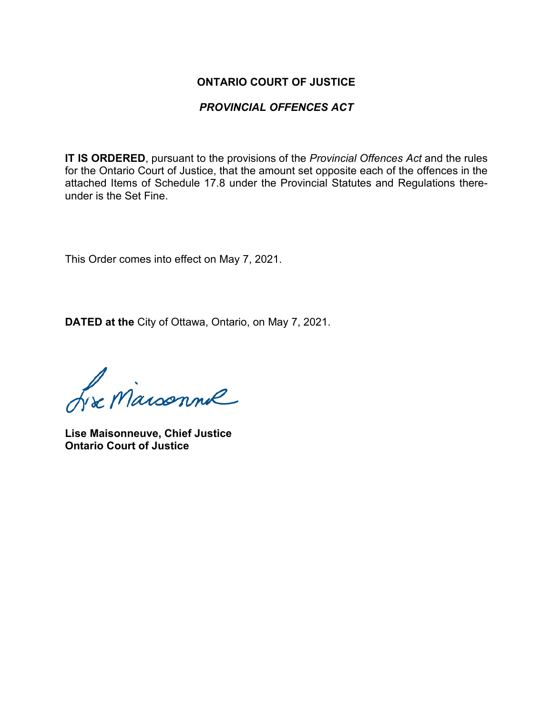## **ONTARIO COURT OF JUSTICE**

## *PROVINCIAL OFFENCES ACT*

**IT IS ORDERED**, pursuant to the provisions of the *Provincial Offences Act* and the rules for the Ontario Court of Justice, that the amount set opposite each of the offences in the attached Items of Schedule 17.8 under the Provincial Statutes and Regulations thereunder is the Set Fine.

This Order comes into effect on May 7, 2021.

**DATED at the** City of Ottawa, Ontario, on May 7, 2021.

L'a Maisonnie

**Lise Maisonneuve, Chief Justice Ontario Court of Justice**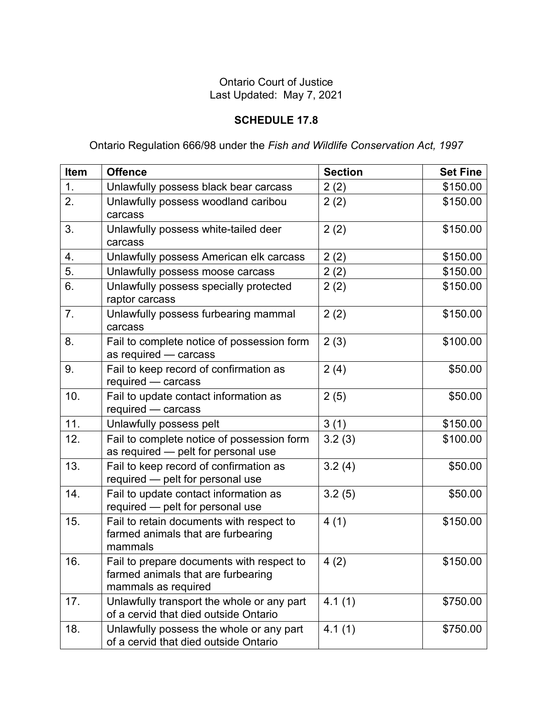## Ontario Court of Justice Last Updated: May 7, 2021

## **SCHEDULE 17.8**

Ontario Regulation 666/98 under the *Fish and Wildlife Conservation Act, 1997*

| Item | <b>Offence</b>                                                                                         | <b>Section</b> | <b>Set Fine</b> |
|------|--------------------------------------------------------------------------------------------------------|----------------|-----------------|
| 1.   | Unlawfully possess black bear carcass                                                                  | 2(2)           | \$150.00        |
| 2.   | Unlawfully possess woodland caribou<br>carcass                                                         | 2(2)           | \$150.00        |
| 3.   | Unlawfully possess white-tailed deer<br>carcass                                                        | 2(2)           | \$150.00        |
| 4.   | Unlawfully possess American elk carcass                                                                | 2(2)           | \$150.00        |
| 5.   | Unlawfully possess moose carcass                                                                       | 2(2)           | \$150.00        |
| 6.   | Unlawfully possess specially protected<br>raptor carcass                                               | 2(2)           | \$150.00        |
| 7.   | Unlawfully possess furbearing mammal<br>carcass                                                        | 2(2)           | \$150.00        |
| 8.   | Fail to complete notice of possession form<br>as required - carcass                                    | 2(3)           | \$100.00        |
| 9.   | Fail to keep record of confirmation as<br>required - carcass                                           | 2(4)           | \$50.00         |
| 10.  | Fail to update contact information as<br>required - carcass                                            | 2(5)           | \$50.00         |
| 11.  | Unlawfully possess pelt                                                                                | 3(1)           | \$150.00        |
| 12.  | Fail to complete notice of possession form<br>as required - pelt for personal use                      | 3.2(3)         | \$100.00        |
| 13.  | Fail to keep record of confirmation as<br>required - pelt for personal use                             | 3.2(4)         | \$50.00         |
| 14.  | Fail to update contact information as<br>required - pelt for personal use                              | 3.2(5)         | \$50.00         |
| 15.  | Fail to retain documents with respect to<br>farmed animals that are furbearing<br>mammals              | 4(1)           | \$150.00        |
| 16.  | Fail to prepare documents with respect to<br>farmed animals that are furbearing<br>mammals as required | 4(2)           | \$150.00        |
| 17.  | Unlawfully transport the whole or any part<br>of a cervid that died outside Ontario                    | 4.1(1)         | \$750.00        |
| 18.  | Unlawfully possess the whole or any part<br>of a cervid that died outside Ontario                      | 4.1(1)         | \$750.00        |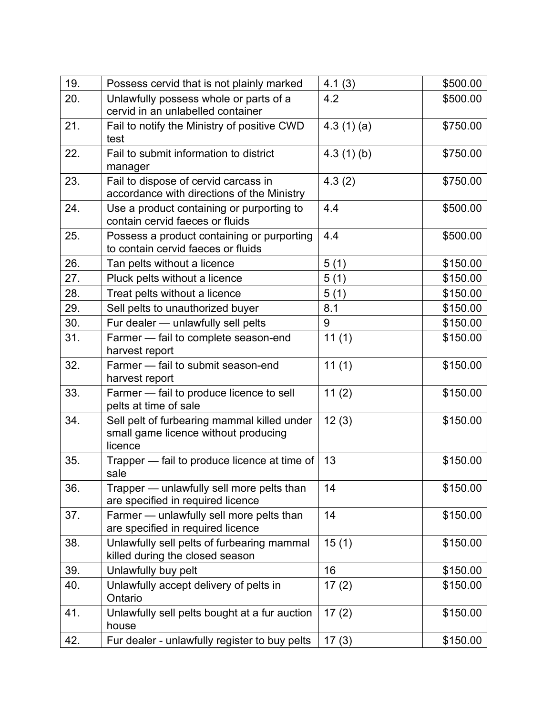| 19. | Possess cervid that is not plainly marked                                                      | 4.1(3)    | \$500.00 |
|-----|------------------------------------------------------------------------------------------------|-----------|----------|
| 20. | Unlawfully possess whole or parts of a<br>cervid in an unlabelled container                    | 4.2       | \$500.00 |
| 21. | Fail to notify the Ministry of positive CWD<br>test                                            | 4.3(1)(a) | \$750.00 |
| 22. | Fail to submit information to district<br>manager                                              | 4.3(1)(b) | \$750.00 |
| 23. | Fail to dispose of cervid carcass in<br>accordance with directions of the Ministry             | 4.3(2)    | \$750.00 |
| 24. | Use a product containing or purporting to<br>contain cervid faeces or fluids                   | 4.4       | \$500.00 |
| 25. | Possess a product containing or purporting<br>to contain cervid faeces or fluids               | 4.4       | \$500.00 |
| 26. | Tan pelts without a licence                                                                    | 5(1)      | \$150.00 |
| 27. | Pluck pelts without a licence                                                                  | 5(1)      | \$150.00 |
| 28. | Treat pelts without a licence                                                                  | 5(1)      | \$150.00 |
| 29. | Sell pelts to unauthorized buyer                                                               | 8.1       | \$150.00 |
| 30. | Fur dealer - unlawfully sell pelts                                                             | 9         | \$150.00 |
| 31. | Farmer - fail to complete season-end<br>harvest report                                         | 11(1)     | \$150.00 |
| 32. | Farmer - fail to submit season-end<br>harvest report                                           | 11(1)     | \$150.00 |
| 33. | Farmer - fail to produce licence to sell<br>pelts at time of sale                              | 11(2)     | \$150.00 |
| 34. | Sell pelt of furbearing mammal killed under<br>small game licence without producing<br>licence | 12(3)     | \$150.00 |
| 35. | Trapper — fail to produce licence at time of<br>sale                                           | 13        | \$150.00 |
| 36. | Trapper — unlawfully sell more pelts than<br>are specified in required licence                 | 14        | \$150.00 |
| 37. | Farmer - unlawfully sell more pelts than<br>are specified in required licence                  | 14        | \$150.00 |
| 38. | Unlawfully sell pelts of furbearing mammal<br>killed during the closed season                  | 15(1)     | \$150.00 |
| 39. | Unlawfully buy pelt                                                                            | 16        | \$150.00 |
| 40. | Unlawfully accept delivery of pelts in<br>Ontario                                              | 17(2)     | \$150.00 |
| 41. | Unlawfully sell pelts bought at a fur auction<br>house                                         | 17(2)     | \$150.00 |
| 42. | Fur dealer - unlawfully register to buy pelts                                                  | 17(3)     | \$150.00 |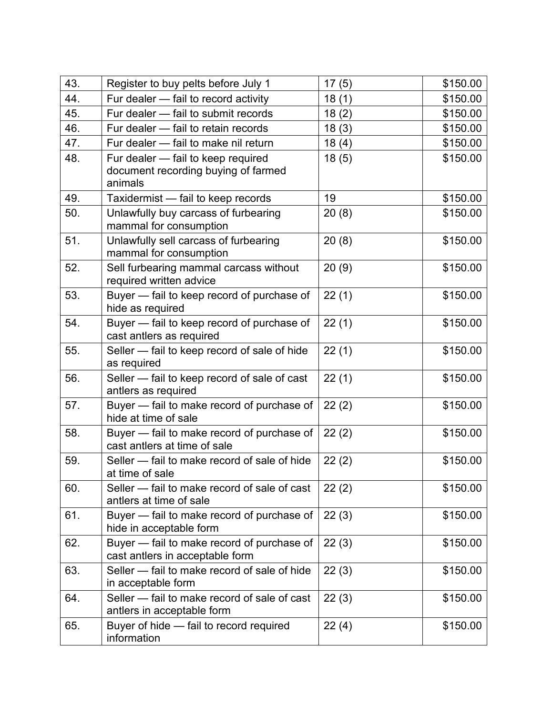| 43. | Register to buy pelts before July 1                                                  | 17(5) | \$150.00 |
|-----|--------------------------------------------------------------------------------------|-------|----------|
| 44. | Fur dealer - fail to record activity                                                 | 18(1) | \$150.00 |
| 45. | Fur dealer - fail to submit records                                                  | 18(2) | \$150.00 |
| 46. | Fur dealer - fail to retain records                                                  | 18(3) | \$150.00 |
| 47. | Fur dealer - fail to make nil return                                                 | 18(4) | \$150.00 |
| 48. | Fur dealer - fail to keep required<br>document recording buying of farmed<br>animals | 18(5) | \$150.00 |
| 49. | Taxidermist - fail to keep records                                                   | 19    | \$150.00 |
| 50. | Unlawfully buy carcass of furbearing<br>mammal for consumption                       | 20(8) | \$150.00 |
| 51. | Unlawfully sell carcass of furbearing<br>mammal for consumption                      | 20(8) | \$150.00 |
| 52. | Sell furbearing mammal carcass without<br>required written advice                    | 20(9) | \$150.00 |
| 53. | Buyer - fail to keep record of purchase of<br>hide as required                       | 22(1) | \$150.00 |
| 54. | Buyer - fail to keep record of purchase of<br>cast antlers as required               | 22(1) | \$150.00 |
| 55. | Seller - fail to keep record of sale of hide<br>as required                          | 22(1) | \$150.00 |
| 56. | Seller - fail to keep record of sale of cast<br>antlers as required                  | 22(1) | \$150.00 |
| 57. | Buyer – fail to make record of purchase of<br>hide at time of sale                   | 22(2) | \$150.00 |
| 58. | Buyer - fail to make record of purchase of<br>cast antlers at time of sale           | 22(2) | \$150.00 |
| 59. | Seller – fail to make record of sale of hide<br>at time of sale                      | 22(2) | \$150.00 |
| 60. | Seller - fail to make record of sale of cast<br>antlers at time of sale              | 22(2) | \$150.00 |
| 61. | Buyer – fail to make record of purchase of<br>hide in acceptable form                | 22(3) | \$150.00 |
| 62. | Buyer - fail to make record of purchase of<br>cast antlers in acceptable form        | 22(3) | \$150.00 |
| 63. | Seller - fail to make record of sale of hide<br>in acceptable form                   | 22(3) | \$150.00 |
| 64. | Seller – fail to make record of sale of cast<br>antlers in acceptable form           | 22(3) | \$150.00 |
| 65. | Buyer of hide - fail to record required<br>information                               | 22(4) | \$150.00 |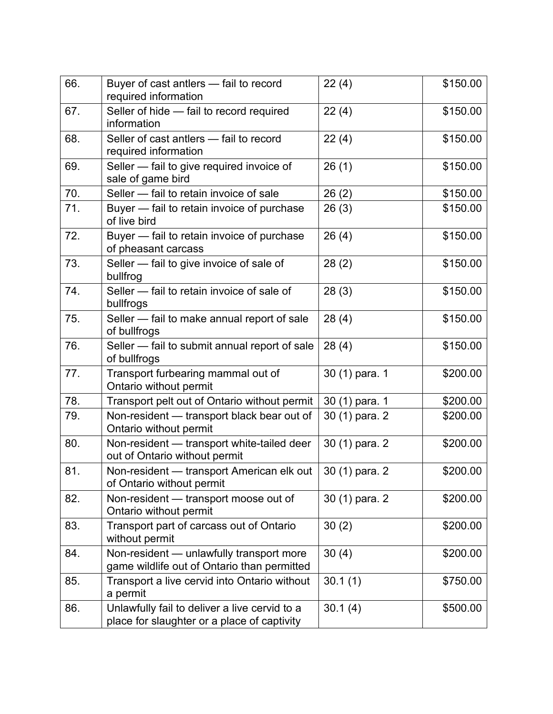| 66. | Buyer of cast antlers - fail to record<br>required information                               | 22(4)          | \$150.00 |
|-----|----------------------------------------------------------------------------------------------|----------------|----------|
| 67. | Seller of hide - fail to record required<br>information                                      | 22(4)          | \$150.00 |
| 68. | Seller of cast antlers - fail to record<br>required information                              | 22(4)          | \$150.00 |
| 69. | Seller - fail to give required invoice of<br>sale of game bird                               | 26(1)          | \$150.00 |
| 70. | Seller – fail to retain invoice of sale                                                      | 26(2)          | \$150.00 |
| 71. | Buyer - fail to retain invoice of purchase<br>of live bird                                   | 26(3)          | \$150.00 |
| 72. | Buyer - fail to retain invoice of purchase<br>of pheasant carcass                            | 26(4)          | \$150.00 |
| 73. | Seller - fail to give invoice of sale of<br>bullfrog                                         | 28(2)          | \$150.00 |
| 74. | Seller - fail to retain invoice of sale of<br>bullfrogs                                      | 28(3)          | \$150.00 |
| 75. | Seller - fail to make annual report of sale<br>of bullfrogs                                  | 28(4)          | \$150.00 |
| 76. | Seller - fail to submit annual report of sale<br>of bullfrogs                                | 28(4)          | \$150.00 |
| 77. | Transport furbearing mammal out of<br>Ontario without permit                                 | 30 (1) para. 1 | \$200.00 |
| 78. | Transport pelt out of Ontario without permit                                                 | 30 (1) para. 1 | \$200.00 |
| 79. | Non-resident - transport black bear out of<br>Ontario without permit                         | 30 (1) para. 2 | \$200.00 |
| 80. | Non-resident - transport white-tailed deer<br>out of Ontario without permit                  | 30 (1) para. 2 | \$200.00 |
| 81. | Non-resident - transport American elk out<br>of Ontario without permit                       | 30 (1) para. 2 | \$200.00 |
| 82. | Non-resident - transport moose out of<br>Ontario without permit                              | 30 (1) para. 2 | \$200.00 |
| 83. | Transport part of carcass out of Ontario<br>without permit                                   | 30(2)          | \$200.00 |
| 84. | Non-resident - unlawfully transport more<br>game wildlife out of Ontario than permitted      | 30(4)          | \$200.00 |
| 85. | Transport a live cervid into Ontario without<br>a permit                                     | 30.1(1)        | \$750.00 |
| 86. | Unlawfully fail to deliver a live cervid to a<br>place for slaughter or a place of captivity | 30.1(4)        | \$500.00 |